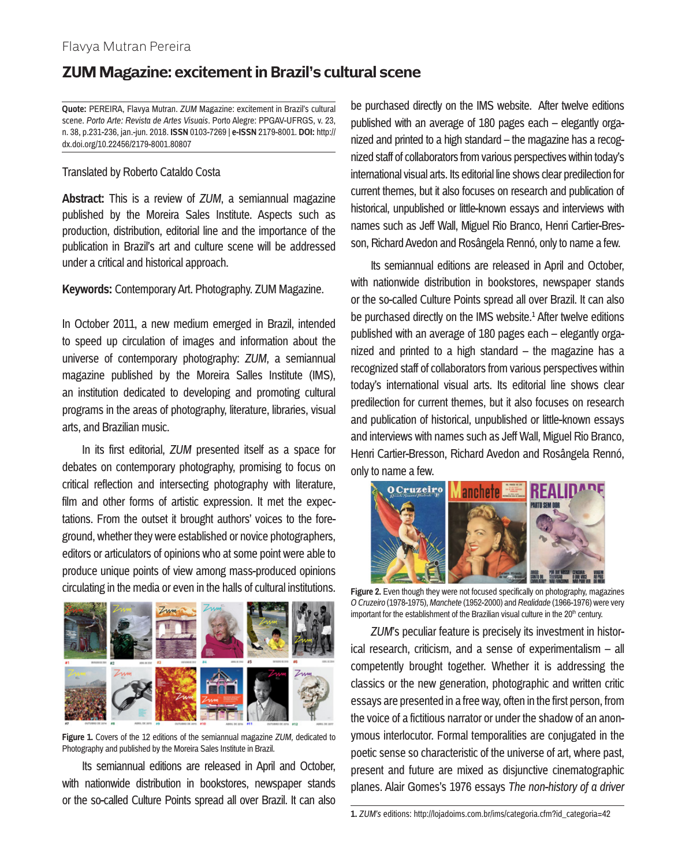## **ZUM Magazine: excitement in Brazil's cultural scene**

**Quote:** PEREIRA, Flavya Mutran. *ZUM* Magazine: excitement in Brazil's cultural scene. *Porto Arte: Revista de Artes Visuais*. Porto Alegre: PPGAV-UFRGS, v. 23, n. 38, p.231-236, jan.-jun. 2018. **ISSN** 0103-7269 | **e-ISSN** 2179-8001. **DOI:** http:// dx.doi.org/10.22456/2179-8001.80807

## Translated by Roberto Cataldo Costa

**Abstract:** This is a review of *ZUM*, a semiannual magazine published by the Moreira Sales Institute. Aspects such as production, distribution, editorial line and the importance of the publication in Brazil's art and culture scene will be addressed under a critical and historical approach.

## **Keywords:** Contemporary Art. Photography. ZUM Magazine.

In October 2011, a new medium emerged in Brazil, intended to speed up circulation of images and information about the universe of contemporary photography: *ZUM*, a semiannual magazine published by the Moreira Salles Institute (IMS), an institution dedicated to developing and promoting cultural programs in the areas of photography, literature, libraries, visual arts, and Brazilian music.

In its first editorial, *ZUM* presented itself as a space for debates on contemporary photography, promising to focus on critical reflection and intersecting photography with literature, film and other forms of artistic expression. It met the expectations. From the outset it brought authors' voices to the foreground, whether they were established or novice photographers, editors or articulators of opinions who at some point were able to produce unique points of view among mass-produced opinions circulating in the media or even in the halls of cultural institutions.



**Figure 1.** Covers of the 12 editions of the semiannual magazine *ZUM*, dedicated to Photography and published by the Moreira Sales Institute in Brazil.

Its semiannual editions are released in April and October, with nationwide distribution in bookstores, newspaper stands or the so-called Culture Points spread all over Brazil. It can also be purchased directly on the IMS website. After twelve editions published with an average of 180 pages each – elegantly organized and printed to a high standard – the magazine has a recognized staff of collaborators from various perspectives within today's international visual arts. Its editorial line shows clear predilection for current themes, but it also focuses on research and publication of historical, unpublished or little-known essays and interviews with names such as Jeff Wall, Miguel Rio Branco, Henri Cartier-Bresson, Richard Avedon and Rosângela Rennó, only to name a few.

Its semiannual editions are released in April and October, with nationwide distribution in bookstores, newspaper stands or the so-called Culture Points spread all over Brazil. It can also be purchased directly on the IMS website.<sup>1</sup> After twelve editions published with an average of 180 pages each – elegantly organized and printed to a high standard – the magazine has a recognized staff of collaborators from various perspectives within today's international visual arts. Its editorial line shows clear predilection for current themes, but it also focuses on research and publication of historical, unpublished or little-known essays and interviews with names such as Jeff Wall, Miguel Rio Branco, Henri Cartier-Bresson, Richard Avedon and Rosângela Rennó, only to name a few.



**Figure 2.** Even though they were not focused specifically on photography, magazines *O Cruzeiro* (1978-1975), *Manchete* (1952-2000) and *Realidade* (1966-1976) were very important for the establishment of the Brazilian visual culture in the  $20<sup>th</sup>$  century.

*ZUM*'s peculiar feature is precisely its investment in historical research, criticism, and a sense of experimentalism – all competently brought together. Whether it is addressing the classics or the new generation, photographic and written critic essays are presented in a free way, often in the first person, from the voice of a fictitious narrator or under the shadow of an anonymous interlocutor. Formal temporalities are conjugated in the poetic sense so characteristic of the universe of art, where past, present and future are mixed as disjunctive cinematographic planes. Alair Gomes's 1976 essays *The non-history of a driver*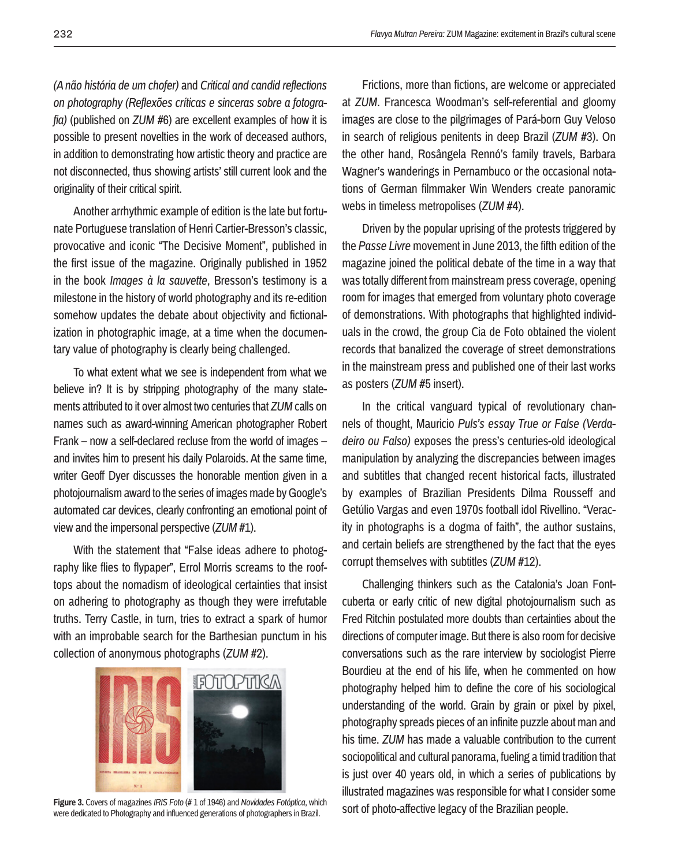*(A não história de um chofer)* and *Critical and candid reflections on photography (Reflexões críticas e sinceras sobre a fotografia)* (published on *ZUM* #6) are excellent examples of how it is possible to present novelties in the work of deceased authors, in addition to demonstrating how artistic theory and practice are not disconnected, thus showing artists' still current look and the originality of their critical spirit.

Another arrhythmic example of edition is the late but fortunate Portuguese translation of Henri Cartier-Bresson's classic, provocative and iconic "The Decisive Moment", published in the first issue of the magazine. Originally published in 1952 in the book *Images à la sauvette*, Bresson's testimony is a milestone in the history of world photography and its re-edition somehow updates the debate about objectivity and fictionalization in photographic image, at a time when the documentary value of photography is clearly being challenged.

To what extent what we see is independent from what we believe in? It is by stripping photography of the many statements attributed to it over almost two centuries that *ZUM* calls on names such as award-winning American photographer Robert Frank – now a self-declared recluse from the world of images – and invites him to present his daily Polaroids. At the same time, writer Geoff Dyer discusses the honorable mention given in a photojournalism award to the series of images made by Google's automated car devices, clearly confronting an emotional point of view and the impersonal perspective (*ZUM* #1).

With the statement that "False ideas adhere to photography like flies to flypaper", Errol Morris screams to the rooftops about the nomadism of ideological certainties that insist on adhering to photography as though they were irrefutable truths. Terry Castle, in turn, tries to extract a spark of humor with an improbable search for the Barthesian punctum in his collection of anonymous photographs (*ZUM* #2).



Figure 3. Covers of magazines *IRIS Foto* (#1 of 1946) and *Novidades Fotóptica*, which<br>were dedicated to Photography and influenced denerations of photographers in Brazil SON 0f photo-affective legacy of the Brazilian peo were dedicated to Photography and influenced generations of photographers in Brazil.

Frictions, more than fictions, are welcome or appreciated at *ZUM*. Francesca Woodman's self-referential and gloomy images are close to the pilgrimages of Pará-born Guy Veloso in search of religious penitents in deep Brazil (*ZUM* #3). On the other hand, Rosângela Rennó's family travels, Barbara Wagner's wanderings in Pernambuco or the occasional notations of German filmmaker Win Wenders create panoramic webs in timeless metropolises (*ZUM* #4).

Driven by the popular uprising of the protests triggered by the *Passe Livre* movement in June 2013, the fifth edition of the magazine joined the political debate of the time in a way that was totally different from mainstream press coverage, opening room for images that emerged from voluntary photo coverage of demonstrations. With photographs that highlighted individuals in the crowd, the group Cia de Foto obtained the violent records that banalized the coverage of street demonstrations in the mainstream press and published one of their last works as posters (*ZUM* #5 insert).

In the critical vanguard typical of revolutionary channels of thought, Mauricio *Puls's essay True or False (Verdadeiro ou Falso)* exposes the press's centuries-old ideological manipulation by analyzing the discrepancies between images and subtitles that changed recent historical facts, illustrated by examples of Brazilian Presidents Dilma Rousseff and Getúlio Vargas and even 1970s football idol Rivellino. "Veracity in photographs is a dogma of faith", the author sustains, and certain beliefs are strengthened by the fact that the eyes corrupt themselves with subtitles (*ZUM* #12).

Challenging thinkers such as the Catalonia's Joan Fontcuberta or early critic of new digital photojournalism such as Fred Ritchin postulated more doubts than certainties about the directions of computer image. But there is also room for decisive conversations such as the rare interview by sociologist Pierre Bourdieu at the end of his life, when he commented on how photography helped him to define the core of his sociological understanding of the world. Grain by grain or pixel by pixel, photography spreads pieces of an infinite puzzle about man and his time. *ZUM* has made a valuable contribution to the current sociopolitical and cultural panorama, fueling a timid tradition that is just over 40 years old, in which a series of publications by illustrated magazines was responsible for what I consider some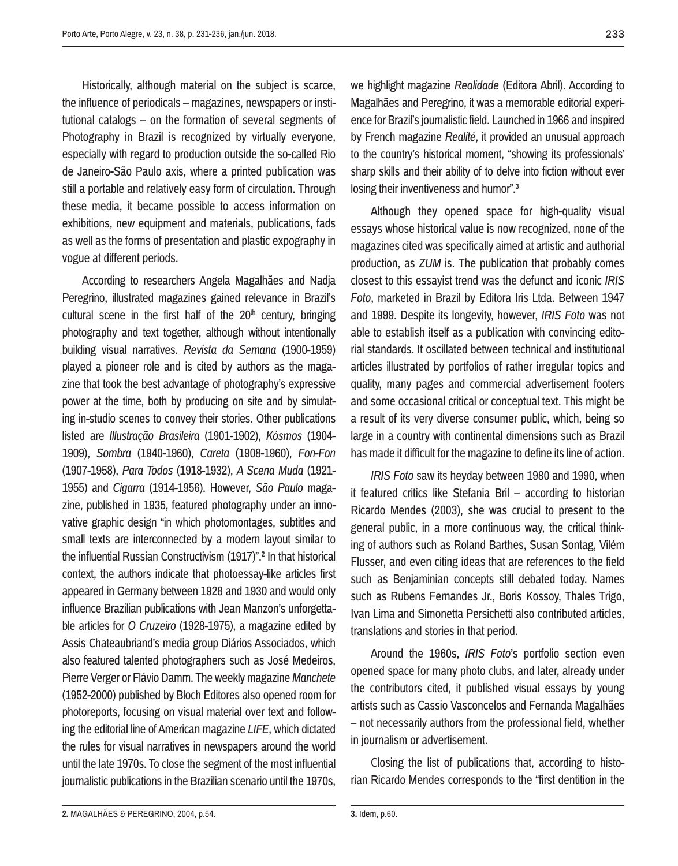Historically, although material on the subject is scarce, the influence of periodicals – magazines, newspapers or institutional catalogs – on the formation of several segments of Photography in Brazil is recognized by virtually everyone, especially with regard to production outside the so-called Rio de Janeiro-São Paulo axis, where a printed publication was still a portable and relatively easy form of circulation. Through these media, it became possible to access information on exhibitions, new equipment and materials, publications, fads as well as the forms of presentation and plastic expography in vogue at different periods.

According to researchers Angela Magalhães and Nadja Peregrino, illustrated magazines gained relevance in Brazil's cultural scene in the first half of the  $20<sup>th</sup>$  century, bringing photography and text together, although without intentionally building visual narratives. *Revista da Semana* (1900-1959) played a pioneer role and is cited by authors as the magazine that took the best advantage of photography's expressive power at the time, both by producing on site and by simulating in-studio scenes to convey their stories. Other publications listed are *Illustração Brasileira* (1901-1902), *Kósmos* (1904- 1909), *Sombra* (1940-1960), *Careta* (1908-1960), *Fon-Fon*  (1907-1958), *Para Todos* (1918-1932), *A Scena Muda* (1921- 1955) and *Cigarra* (1914-1956). However, *São Paulo* magazine, published in 1935, featured photography under an innovative graphic design "in which photomontages, subtitles and small texts are interconnected by a modern layout similar to the influential Russian Constructivism (1917)".2 In that historical context, the authors indicate that photoessay-like articles first appeared in Germany between 1928 and 1930 and would only influence Brazilian publications with Jean Manzon's unforgettable articles for *O Cruzeiro* (1928-1975), a magazine edited by Assis Chateaubriand's media group Diários Associados, which also featured talented photographers such as José Medeiros, Pierre Verger or Flávio Damm. The weekly magazine *Manchete* (1952-2000) published by Bloch Editores also opened room for photoreports, focusing on visual material over text and following the editorial line of American magazine *LIFE*, which dictated the rules for visual narratives in newspapers around the world until the late 1970s. To close the segment of the most influential journalistic publications in the Brazilian scenario until the 1970s,

we highlight magazine *Realidade* (Editora Abril). According to Magalhães and Peregrino, it was a memorable editorial experience for Brazil's journalistic field. Launched in 1966 and inspired by French magazine *Realité*, it provided an unusual approach to the country's historical moment, "showing its professionals' sharp skills and their ability of to delve into fiction without ever losing their inventiveness and humor".<sup>3</sup>

Although they opened space for high-quality visual essays whose historical value is now recognized, none of the magazines cited was specifically aimed at artistic and authorial production, as *ZUM* is. The publication that probably comes closest to this essayist trend was the defunct and iconic *IRIS Foto*, marketed in Brazil by Editora Iris Ltda. Between 1947 and 1999. Despite its longevity, however, *IRIS Foto* was not able to establish itself as a publication with convincing editorial standards. It oscillated between technical and institutional articles illustrated by portfolios of rather irregular topics and quality, many pages and commercial advertisement footers and some occasional critical or conceptual text. This might be a result of its very diverse consumer public, which, being so large in a country with continental dimensions such as Brazil has made it difficult for the magazine to define its line of action.

*IRIS Foto* saw its heyday between 1980 and 1990, when it featured critics like Stefania Bril – according to historian Ricardo Mendes (2003), she was crucial to present to the general public, in a more continuous way, the critical thinking of authors such as Roland Barthes, Susan Sontag, Vilém Flusser, and even citing ideas that are references to the field such as Benjaminian concepts still debated today. Names such as Rubens Fernandes Jr., Boris Kossoy, Thales Trigo, Ivan Lima and Simonetta Persichetti also contributed articles, translations and stories in that period.

Around the 1960s, *IRIS Foto*'s portfolio section even opened space for many photo clubs, and later, already under the contributors cited, it published visual essays by young artists such as Cassio Vasconcelos and Fernanda Magalhães – not necessarily authors from the professional field, whether in journalism or advertisement.

Closing the list of publications that, according to historian Ricardo Mendes corresponds to the "first dentition in the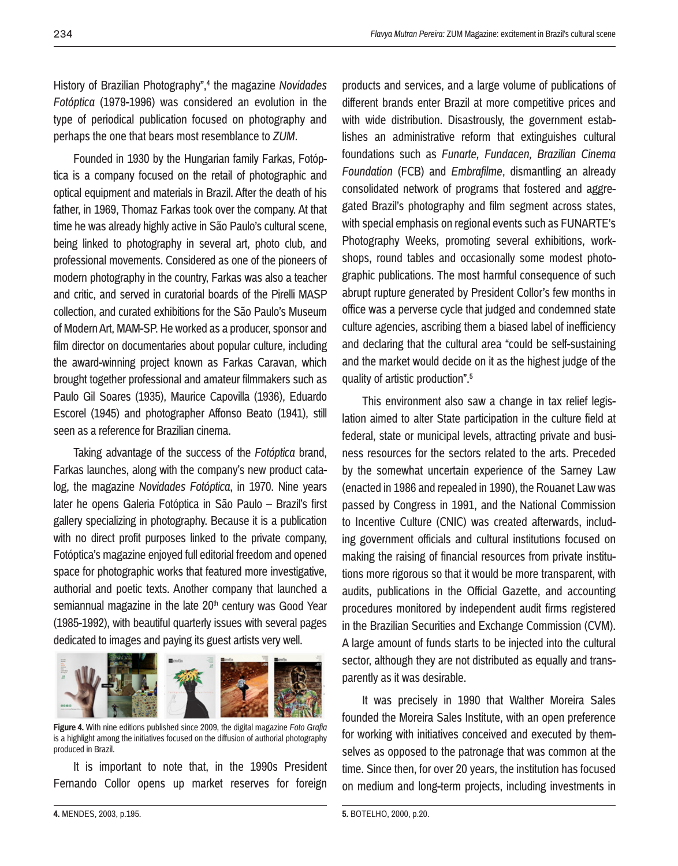History of Brazilian Photography",4 the magazine *Novidades Fotóptica* (1979-1996) was considered an evolution in the type of periodical publication focused on photography and perhaps the one that bears most resemblance to *ZUM*.

Founded in 1930 by the Hungarian family Farkas, Fotóptica is a company focused on the retail of photographic and optical equipment and materials in Brazil. After the death of his father, in 1969, Thomaz Farkas took over the company. At that time he was already highly active in São Paulo's cultural scene, being linked to photography in several art, photo club, and professional movements. Considered as one of the pioneers of modern photography in the country, Farkas was also a teacher and critic, and served in curatorial boards of the Pirelli MASP collection, and curated exhibitions for the São Paulo's Museum of Modern Art, MAM-SP. He worked as a producer, sponsor and film director on documentaries about popular culture, including the award-winning project known as Farkas Caravan, which brought together professional and amateur filmmakers such as Paulo Gil Soares (1935), Maurice Capovilla (1936), Eduardo Escorel (1945) and photographer Affonso Beato (1941), still seen as a reference for Brazilian cinema.

Taking advantage of the success of the *Fotóptica* brand, Farkas launches, along with the company's new product catalog, the magazine *Novidades Fotóptica*, in 1970. Nine years later he opens Galeria Fotóptica in São Paulo – Brazil's first gallery specializing in photography. Because it is a publication with no direct profit purposes linked to the private company. Fotóptica's magazine enjoyed full editorial freedom and opened space for photographic works that featured more investigative, authorial and poetic texts. Another company that launched a semiannual magazine in the late 20<sup>th</sup> century was Good Year (1985-1992), with beautiful quarterly issues with several pages dedicated to images and paying its guest artists very well.



**Figure 4.** With nine editions published since 2009, the digital magazine *Foto Grafia*  is a highlight among the initiatives focused on the diffusion of authorial photography produced in Brazil.

It is important to note that, in the 1990s President Fernando Collor opens up market reserves for foreign products and services, and a large volume of publications of different brands enter Brazil at more competitive prices and with wide distribution. Disastrously, the government establishes an administrative reform that extinguishes cultural foundations such as *Funarte, Fundacen, Brazilian Cinema Foundation* (FCB) and *Embrafilme*, dismantling an already consolidated network of programs that fostered and aggregated Brazil's photography and film segment across states, with special emphasis on regional events such as FUNARTE's Photography Weeks, promoting several exhibitions, workshops, round tables and occasionally some modest photographic publications. The most harmful consequence of such abrupt rupture generated by President Collor's few months in office was a perverse cycle that judged and condemned state culture agencies, ascribing them a biased label of inefficiency and declaring that the cultural area "could be self-sustaining and the market would decide on it as the highest judge of the quality of artistic production".5

This environment also saw a change in tax relief legislation aimed to alter State participation in the culture field at federal, state or municipal levels, attracting private and business resources for the sectors related to the arts. Preceded by the somewhat uncertain experience of the Sarney Law (enacted in 1986 and repealed in 1990), the Rouanet Law was passed by Congress in 1991, and the National Commission to Incentive Culture (CNIC) was created afterwards, including government officials and cultural institutions focused on making the raising of financial resources from private institutions more rigorous so that it would be more transparent, with audits, publications in the Official Gazette, and accounting procedures monitored by independent audit firms registered in the Brazilian Securities and Exchange Commission (CVM). A large amount of funds starts to be injected into the cultural sector, although they are not distributed as equally and transparently as it was desirable.

It was precisely in 1990 that Walther Moreira Sales founded the Moreira Sales Institute, with an open preference for working with initiatives conceived and executed by themselves as opposed to the patronage that was common at the time. Since then, for over 20 years, the institution has focused on medium and long-term projects, including investments in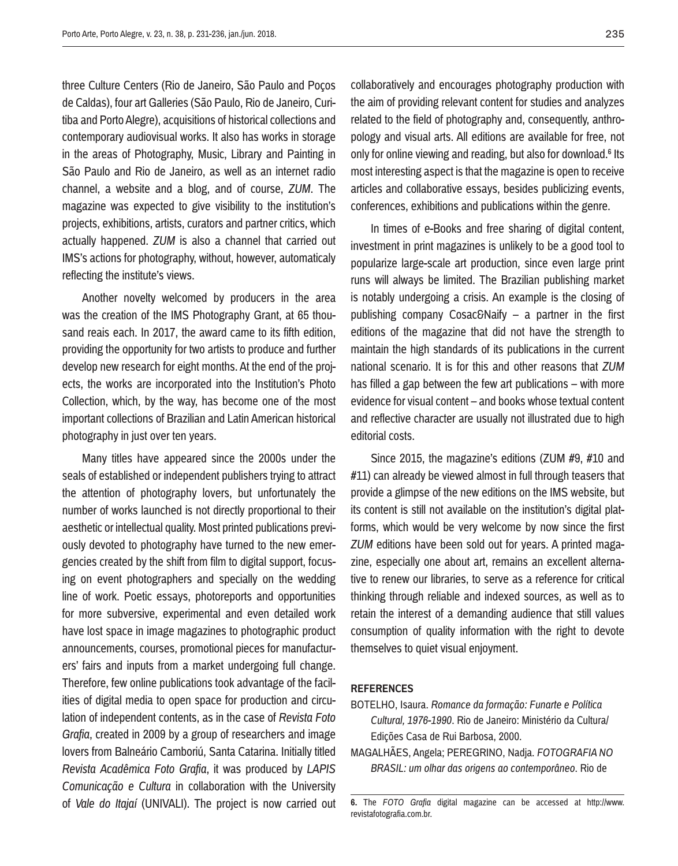three Culture Centers (Rio de Janeiro, São Paulo and Poços de Caldas), four art Galleries (São Paulo, Rio de Janeiro, Curitiba and Porto Alegre), acquisitions of historical collections and contemporary audiovisual works. It also has works in storage in the areas of Photography, Music, Library and Painting in São Paulo and Rio de Janeiro, as well as an internet radio channel, a website and a blog, and of course, *ZUM*. The magazine was expected to give visibility to the institution's projects, exhibitions, artists, curators and partner critics, which actually happened. *ZUM* is also a channel that carried out IMS's actions for photography, without, however, automaticaly reflecting the institute's views.

Another novelty welcomed by producers in the area was the creation of the IMS Photography Grant, at 65 thousand reais each. In 2017, the award came to its fifth edition, providing the opportunity for two artists to produce and further develop new research for eight months. At the end of the projects, the works are incorporated into the Institution's Photo Collection, which, by the way, has become one of the most important collections of Brazilian and Latin American historical photography in just over ten years.

Many titles have appeared since the 2000s under the seals of established or independent publishers trying to attract the attention of photography lovers, but unfortunately the number of works launched is not directly proportional to their aesthetic or intellectual quality. Most printed publications previously devoted to photography have turned to the new emergencies created by the shift from film to digital support, focusing on event photographers and specially on the wedding line of work. Poetic essays, photoreports and opportunities for more subversive, experimental and even detailed work have lost space in image magazines to photographic product announcements, courses, promotional pieces for manufacturers' fairs and inputs from a market undergoing full change. Therefore, few online publications took advantage of the facilities of digital media to open space for production and circulation of independent contents, as in the case of *Revista Foto Grafia*, created in 2009 by a group of researchers and image lovers from Balneário Camboriú, Santa Catarina. Initially titled *Revista Acadêmica Foto Grafia*, it was produced by *LAPIS Comunicação e Cultura* in collaboration with the University of *Vale do Itajaí* (UNIVALI). The project is now carried out collaboratively and encourages photography production with the aim of providing relevant content for studies and analyzes related to the field of photography and, consequently, anthropology and visual arts. All editions are available for free, not only for online viewing and reading, but also for download.6 Its most interesting aspect is that the magazine is open to receive articles and collaborative essays, besides publicizing events, conferences, exhibitions and publications within the genre.

In times of e-Books and free sharing of digital content, investment in print magazines is unlikely to be a good tool to popularize large-scale art production, since even large print runs will always be limited. The Brazilian publishing market is notably undergoing a crisis. An example is the closing of publishing company Cosac&Naify – a partner in the first editions of the magazine that did not have the strength to maintain the high standards of its publications in the current national scenario. It is for this and other reasons that *ZUM* has filled a gap between the few art publications – with more evidence for visual content – and books whose textual content and reflective character are usually not illustrated due to high editorial costs.

Since 2015, the magazine's editions (ZUM #9, #10 and #11) can already be viewed almost in full through teasers that provide a glimpse of the new editions on the IMS website, but its content is still not available on the institution's digital platforms, which would be very welcome by now since the first *ZUM* editions have been sold out for years. A printed magazine, especially one about art, remains an excellent alternative to renew our libraries, to serve as a reference for critical thinking through reliable and indexed sources, as well as to retain the interest of a demanding audience that still values consumption of quality information with the right to devote themselves to quiet visual enjoyment.

## **References**

- BOTELHO, Isaura. *Romance da formação: Funarte e Política Cultural, 1976-1990*. Rio de Janeiro: Ministério da Cultura/ Edições Casa de Rui Barbosa, 2000.
- MAGALHÃES, Angela; PEREGRINO, Nadja. *FOTOGRAFIA NO BRASIL: um olhar das origens ao contemporâneo*. Rio de

**<sup>6.</sup>** The *FOTO Grafia* digital magazine can be accessed at http://www. revistafotografia.com.br.